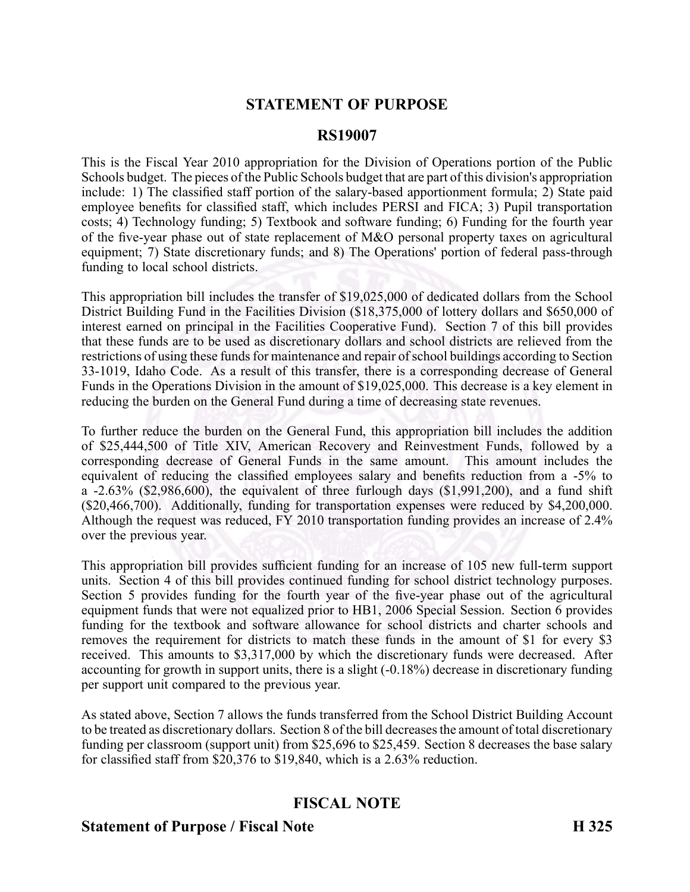## **STATEMENT OF PURPOSE**

#### **RS19007**

This is the Fiscal Year 2010 appropriation for the Division of Operations portion of the Public Schools budget. The pieces of the Public Schools budget that are par<sup>t</sup> of this division's appropriation include: 1) The classified staff portion of the salary-based apportionment formula; 2) State paid employee benefits for classified staff, which includes PERSI and FICA; 3) Pupil transportation costs; 4) Technology funding; 5) Textbook and software funding; 6) Funding for the fourth year of the five-year phase out of state replacement of M&O personal property taxes on agricultural equipment; 7) State discretionary funds; and 8) The Operations' portion of federal pass-through funding to local school districts.

This appropriation bill includes the transfer of \$19,025,000 of dedicated dollars from the School District Building Fund in the Facilities Division (\$18,375,000 of lottery dollars and \$650,000 of interest earned on principal in the Facilities Cooperative Fund). Section 7 of this bill provides that these funds are to be used as discretionary dollars and school districts are relieved from the restrictions of using these funds for maintenance and repair of school buildings according to Section 33-1019, Idaho Code. As a result of this transfer, there is a corresponding decrease of General Funds in the Operations Division in the amount of \$19,025,000. This decrease is <sup>a</sup> key element in reducing the burden on the General Fund during <sup>a</sup> time of decreasing state revenues.

To further reduce the burden on the General Fund, this appropriation bill includes the addition of \$25,444,500 of Title XIV, American Recovery and Reinvestment Funds, followed by <sup>a</sup> corresponding decrease of General Funds in the same amount. This amount includes the equivalent of reducing the classified employees salary and benefits reduction from <sup>a</sup> 5% to a  $-2.63\%$  (\$2,986,600), the equivalent of three furlough days (\$1,991,200), and a fund shift (\$20,466,700). Additionally, funding for transportation expenses were reduced by \$4,200,000. Although the reques<sup>t</sup> was reduced, FY 2010 transportation funding provides an increase of 2.4% over the previous year.

This appropriation bill provides sufficient funding for an increase of 105 new full-term support units. Section 4 of this bill provides continued funding for school district technology purposes. Section 5 provides funding for the fourth year of the five-year phase out of the agricultural equipment funds that were not equalized prior to HB1, 2006 Special Session. Section 6 provides funding for the textbook and software allowance for school districts and charter schools and removes the requirement for districts to match these funds in the amount of \$1 for every \$3 received. This amounts to \$3,317,000 by which the discretionary funds were decreased. After accounting for growth in support units, there is a slight  $(-0.18\%)$  decrease in discretionary funding per suppor<sup>t</sup> unit compared to the previous year.

As stated above, Section 7 allows the funds transferred from the School District Building Account to be treated as discretionary dollars. Section 8 of the bill decreasesthe amount of total discretionary funding per classroom (support unit) from \$25,696 to \$25,459. Section 8 decreases the base salary for classified staff from \$20,376 to \$19,840, which is <sup>a</sup> 2.63% reduction.

### **FISCAL NOTE**

#### **Statement of Purpose / Fiscal Note H 325**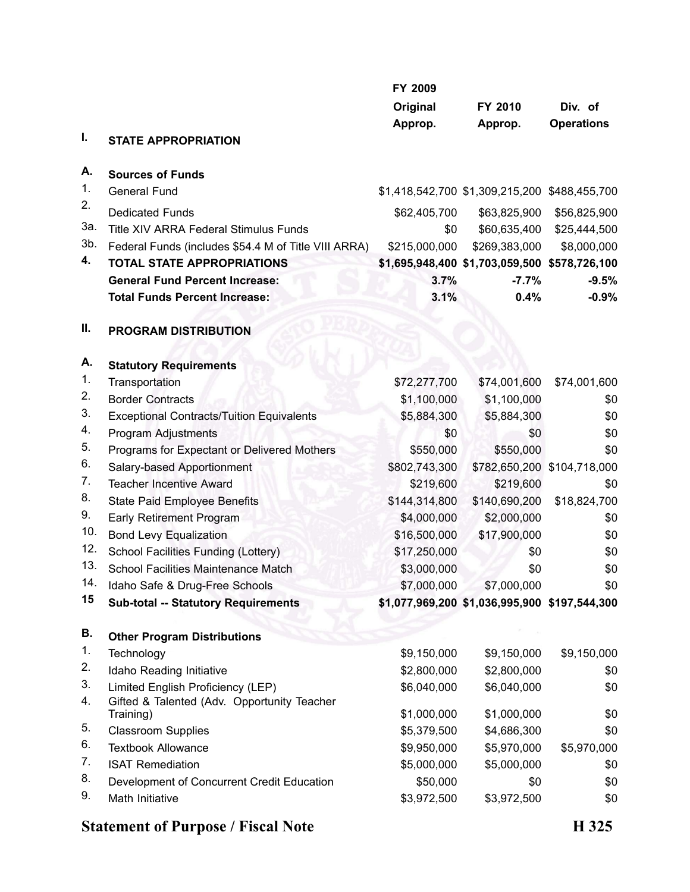|        | FY 2009                                                  |               |                                               |                             |
|--------|----------------------------------------------------------|---------------|-----------------------------------------------|-----------------------------|
|        |                                                          | Original      | FY 2010                                       | Div. of                     |
|        |                                                          | Approp.       | Approp.                                       | <b>Operations</b>           |
| I.     | <b>STATE APPROPRIATION</b>                               |               |                                               |                             |
| А.     | <b>Sources of Funds</b>                                  |               |                                               |                             |
| 1.     | General Fund                                             |               | \$1,418,542,700 \$1,309,215,200 \$488,455,700 |                             |
| 2.     | <b>Dedicated Funds</b>                                   | \$62,405,700  | \$63,825,900                                  | \$56,825,900                |
| За.    | <b>Title XIV ARRA Federal Stimulus Funds</b>             | \$0           | \$60,635,400                                  | \$25,444,500                |
| $3b$ . | Federal Funds (includes \$54.4 M of Title VIII ARRA)     | \$215,000,000 | \$269,383,000                                 | \$8,000,000                 |
| 4.     | <b>TOTAL STATE APPROPRIATIONS</b>                        |               | \$1,695,948,400 \$1,703,059,500 \$578,726,100 |                             |
|        | <b>General Fund Percent Increase:</b>                    | 3.7%          | $-7.7%$                                       | $-9.5%$                     |
|        | <b>Total Funds Percent Increase:</b>                     | 3.1%          | 0.4%                                          | $-0.9%$                     |
| Ш.     | <b>PROGRAM DISTRIBUTION</b>                              |               |                                               |                             |
| Α.     | <b>Statutory Requirements</b>                            |               |                                               |                             |
| 1.     | Transportation                                           | \$72,277,700  | \$74,001,600                                  | \$74,001,600                |
| 2.     | <b>Border Contracts</b>                                  | \$1,100,000   | \$1,100,000                                   | \$0                         |
| 3.     | <b>Exceptional Contracts/Tuition Equivalents</b>         | \$5,884,300   | \$5,884,300                                   | \$0                         |
| 4.     | Program Adjustments                                      | \$0           | \$0                                           | \$0                         |
| 5.     | Programs for Expectant or Delivered Mothers              | \$550,000     | \$550,000                                     | \$0                         |
| 6.     | Salary-based Apportionment                               | \$802,743,300 |                                               | \$782,650,200 \$104,718,000 |
| 7.     | <b>Teacher Incentive Award</b>                           | \$219,600     | \$219,600                                     | \$0                         |
| 8.     | <b>State Paid Employee Benefits</b>                      | \$144,314,800 | \$140,690,200                                 | \$18,824,700                |
| 9.     | <b>Early Retirement Program</b>                          | \$4,000,000   | \$2,000,000                                   | \$0                         |
| 10.    | <b>Bond Levy Equalization</b>                            | \$16,500,000  | \$17,900,000                                  | \$0                         |
| 12.    | School Facilities Funding (Lottery)                      | \$17,250,000  | \$0                                           | \$0                         |
| 13.    | <b>School Facilities Maintenance Match</b>               | \$3,000,000   | \$0                                           | \$0                         |
| 14.    | Idaho Safe & Drug-Free Schools                           | \$7,000,000   | \$7,000,000                                   | \$0                         |
| 15     | <b>Sub-total -- Statutory Requirements</b>               |               | \$1,077,969,200 \$1,036,995,900 \$197,544,300 |                             |
| В.     | <b>Other Program Distributions</b>                       |               |                                               |                             |
| 1.     | Technology                                               | \$9,150,000   | \$9,150,000                                   | \$9,150,000                 |
| 2.     | Idaho Reading Initiative                                 | \$2,800,000   | \$2,800,000                                   | \$0                         |
| 3.     | Limited English Proficiency (LEP)                        | \$6,040,000   | \$6,040,000                                   | \$0                         |
| 4.     | Gifted & Talented (Adv. Opportunity Teacher<br>Training) | \$1,000,000   | \$1,000,000                                   | \$0                         |
| 5.     | <b>Classroom Supplies</b>                                | \$5,379,500   | \$4,686,300                                   | \$0                         |
| 6.     | <b>Textbook Allowance</b>                                | \$9,950,000   | \$5,970,000                                   | \$5,970,000                 |
| 7.     | <b>ISAT Remediation</b>                                  | \$5,000,000   | \$5,000,000                                   | \$0                         |
| 8.     | Development of Concurrent Credit Education               | \$50,000      | \$0                                           | \$0                         |
| 9.     | Math Initiative                                          | \$3,972,500   | \$3,972,500                                   | \$0                         |

# **Statement of Purpose / Fiscal Note H 325**